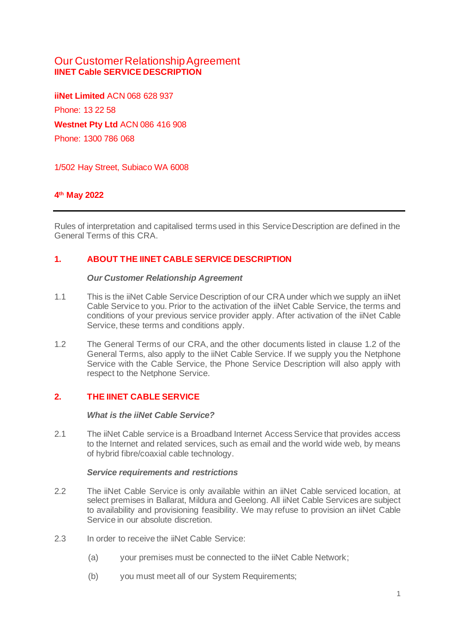# Our Customer Relationship Agreement **IINET Cable SERVICE DESCRIPTION**

**iiNet Limited** ACN 068 628 937 Phone: 13 22 58 **Westnet Pty Ltd** ACN 086 416 908 Phone: 1300 786 068

1/502 Hay Street, Subiaco WA 6008

## **4 th May 2022**

Rules of interpretation and capitalised terms used in this Service Description are defined in the General Terms of this CRA.

## **1. ABOUT THE IINET CABLE SERVICE DESCRIPTION**

#### *Our Customer Relationship Agreement*

- 1.1 This is the iiNet Cable Service Description of our CRA under which we supply an iiNet Cable Service to you. Prior to the activation of the iiNet Cable Service, the terms and conditions of your previous service provider apply. After activation of the iiNet Cable Service, these terms and conditions apply.
- 1.2 The General Terms of our CRA, and the other documents listed in clause 1.2 of the General Terms, also apply to the iiNet Cable Service. If we supply you the Netphone Service with the Cable Service, the Phone Service Description will also apply with respect to the Netphone Service.

## **2. THE IINET CABLE SERVICE**

### *What is the iiNet Cable Service?*

2.1 The iiNet Cable service is a Broadband Internet Access Service that provides access to the Internet and related services, such as email and the world wide web, by means of hybrid fibre/coaxial cable technology.

### *Service requirements and restrictions*

- 2.2 The iiNet Cable Service is only available within an iiNet Cable serviced location, at select premises in Ballarat, Mildura and Geelong. All iiNet Cable Services are subject to availability and provisioning feasibility. We may refuse to provision an iiNet Cable Service in our absolute discretion.
- 2.3 In order to receive the iiNet Cable Service:
	- (a) your premises must be connected to the iiNet Cable Network;
	- (b) you must meet all of our System Requirements;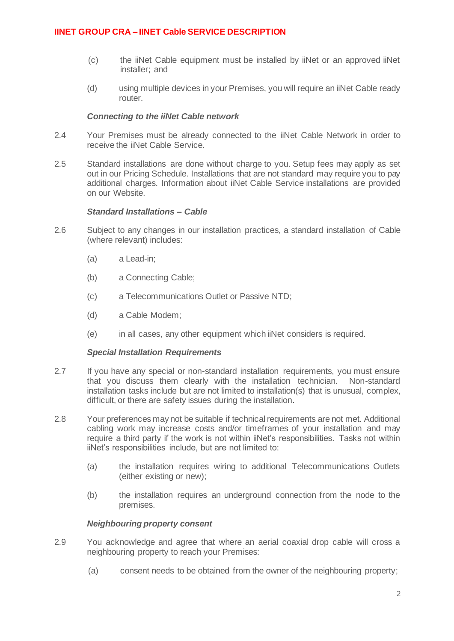- (c) the iiNet Cable equipment must be installed by iiNet or an approved iiNet installer; and
- (d) using multiple devices in your Premises, you will require an iiNet Cable ready router.

### *Connecting to the iiNet Cable network*

- 2.4 Your Premises must be already connected to the iiNet Cable Network in order to receive the iiNet Cable Service.
- 2.5 Standard installations are done without charge to you. Setup fees may apply as set out in our Pricing Schedule. Installations that are not standard may require you to pay additional charges. Information about iiNet Cable Service installations are provided on our Website.

### *Standard Installations – Cable*

- 2.6 Subject to any changes in our installation practices, a standard installation of Cable (where relevant) includes:
	- (a) a Lead-in;
	- (b) a Connecting Cable;
	- (c) a Telecommunications Outlet or Passive NTD;
	- (d) a Cable Modem;
	- (e) in all cases, any other equipment which iiNet considers is required.

#### *Special Installation Requirements*

- 2.7 If you have any special or non-standard installation requirements, you must ensure that you discuss them clearly with the installation technician. Non-standard installation tasks include but are not limited to installation(s) that is unusual, complex, difficult, or there are safety issues during the installation.
- 2.8 Your preferences may not be suitable if technical requirements are not met. Additional cabling work may increase costs and/or timeframes of your installation and may require a third party if the work is not within iiNet's responsibilities. Tasks not within iiNet's responsibilities include, but are not limited to:
	- (a) the installation requires wiring to additional Telecommunications Outlets (either existing or new);
	- (b) the installation requires an underground connection from the node to the premises.

#### *Neighbouring property consent*

- 2.9 You acknowledge and agree that where an aerial coaxial drop cable will cross a neighbouring property to reach your Premises:
	- (a) consent needs to be obtained from the owner of the neighbouring property;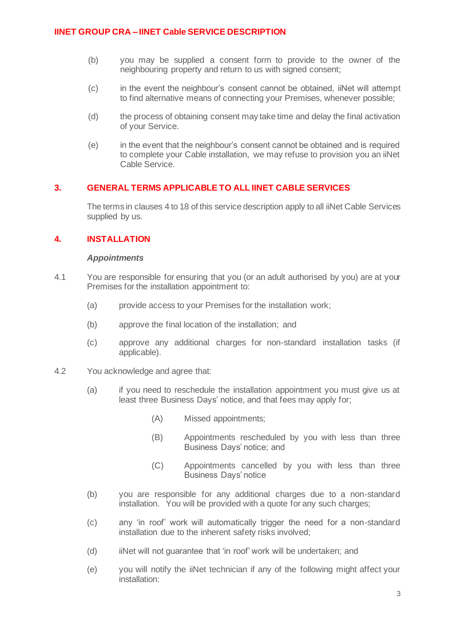- (b) you may be supplied a consent form to provide to the owner of the neighbouring property and return to us with signed consent;
- (c) in the event the neighbour's consent cannot be obtained, iiNet will attempt to find alternative means of connecting your Premises, whenever possible;
- (d) the process of obtaining consent may take time and delay the final activation of your Service.
- (e) in the event that the neighbour's consent cannot be obtained and is required to complete your Cable installation, we may refuse to provision you an iiNet Cable Service.

## **3. GENERAL TERMS APPLICABLE TO ALL IINET CABLE SERVICES**

The terms in clauses 4 to 18 of this service description apply to all iiNet Cable Services supplied by us.

## **4. INSTALLATION**

### *Appointments*

- 4.1 You are responsible for ensuring that you (or an adult authorised by you) are at your Premises for the installation appointment to:
	- (a) provide access to your Premises for the installation work;
	- (b) approve the final location of the installation; and
	- (c) approve any additional charges for non-standard installation tasks (if applicable).
- 4.2 You acknowledge and agree that:
	- (a) if you need to reschedule the installation appointment you must give us at least three Business Days' notice, and that fees may apply for;
		- (A) Missed appointments;
		- (B) Appointments rescheduled by you with less than three Business Days' notice; and
		- (C) Appointments cancelled by you with less than three Business Days' notice
	- (b) you are responsible for any additional charges due to a non-standard installation. You will be provided with a quote for any such charges;
	- (c) any 'in roof' work will automatically trigger the need for a non-standard installation due to the inherent safety risks involved;
	- (d) iiNet will not guarantee that 'in roof' work will be undertaken; and
	- (e) you will notify the iiNet technician if any of the following might affect your installation: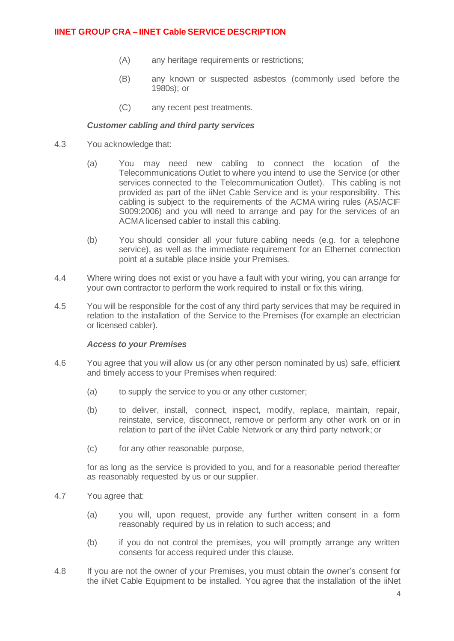- (A) any heritage requirements or restrictions;
- (B) any known or suspected asbestos (commonly used before the 1980s); or
- (C) any recent pest treatments.

### *Customer cabling and third party services*

- 4.3 You acknowledge that:
	- (a) You may need new cabling to connect the location of the Telecommunications Outlet to where you intend to use the Service (or other services connected to the Telecommunication Outlet). This cabling is not provided as part of the iiNet Cable Service and is your responsibility. This cabling is subject to the requirements of the ACMA wiring rules (AS/ACIF S009:2006) and you will need to arrange and pay for the services of an ACMA licensed cabler to install this cabling.
	- (b) You should consider all your future cabling needs (e.g. for a telephone service), as well as the immediate requirement for an Ethernet connection point at a suitable place inside your Premises.
- 4.4 Where wiring does not exist or you have a fault with your wiring, you can arrange for your own contractor to perform the work required to install or fix this wiring.
- 4.5 You will be responsible for the cost of any third party services that may be required in relation to the installation of the Service to the Premises (for example an electrician or licensed cabler).

#### *Access to your Premises*

- 4.6 You agree that you will allow us (or any other person nominated by us) safe, efficient and timely access to your Premises when required:
	- (a) to supply the service to you or any other customer;
	- (b) to deliver, install, connect, inspect, modify, replace, maintain, repair, reinstate, service, disconnect, remove or perform any other work on or in relation to part of the iiNet Cable Network or any third party network; or
	- (c) for any other reasonable purpose,

for as long as the service is provided to you, and for a reasonable period thereafter as reasonably requested by us or our supplier.

- 4.7 You agree that:
	- (a) you will, upon request, provide any further written consent in a form reasonably required by us in relation to such access; and
	- (b) if you do not control the premises, you will promptly arrange any written consents for access required under this clause.
- 4.8 If you are not the owner of your Premises, you must obtain the owner's consent for the iiNet Cable Equipment to be installed. You agree that the installation of the iiNet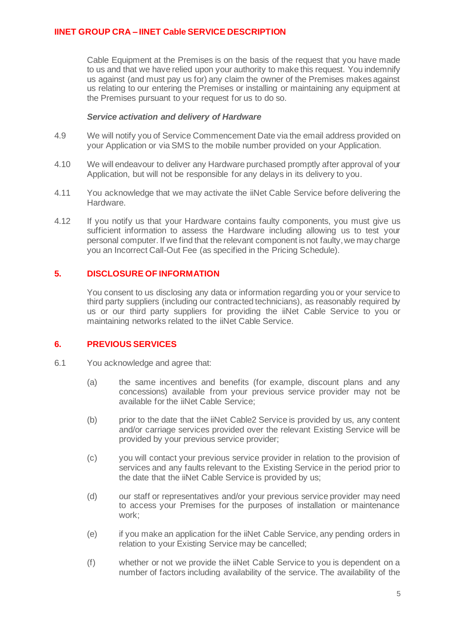Cable Equipment at the Premises is on the basis of the request that you have made to us and that we have relied upon your authority to make this request. You indemnify us against (and must pay us for) any claim the owner of the Premises makes against us relating to our entering the Premises or installing or maintaining any equipment at the Premises pursuant to your request for us to do so.

#### *Service activation and delivery of Hardware*

- 4.9 We will notify you of Service Commencement Date via the email address provided on your Application or via SMS to the mobile number provided on your Application.
- 4.10 We will endeavour to deliver any Hardware purchased promptly after approval of your Application, but will not be responsible for any delays in its delivery to you.
- 4.11 You acknowledge that we may activate the iiNet Cable Service before delivering the Hardware.
- 4.12 If you notify us that your Hardware contains faulty components, you must give us sufficient information to assess the Hardware including allowing us to test your personal computer. If we find that the relevant component is not faulty, we may charge you an Incorrect Call-Out Fee (as specified in the Pricing Schedule).

## **5. DISCLOSURE OF INFORMATION**

You consent to us disclosing any data or information regarding you or your service to third party suppliers (including our contracted technicians), as reasonably required by us or our third party suppliers for providing the iiNet Cable Service to you or maintaining networks related to the iiNet Cable Service.

### **6. PREVIOUS SERVICES**

- 6.1 You acknowledge and agree that:
	- (a) the same incentives and benefits (for example, discount plans and any concessions) available from your previous service provider may not be available for the iiNet Cable Service;
	- (b) prior to the date that the iiNet Cable2 Service is provided by us, any content and/or carriage services provided over the relevant Existing Service will be provided by your previous service provider;
	- (c) you will contact your previous service provider in relation to the provision of services and any faults relevant to the Existing Service in the period prior to the date that the iiNet Cable Service is provided by us;
	- (d) our staff or representatives and/or your previous service provider may need to access your Premises for the purposes of installation or maintenance work;
	- (e) if you make an application for the iiNet Cable Service, any pending orders in relation to your Existing Service may be cancelled;
	- (f) whether or not we provide the iiNet Cable Service to you is dependent on a number of factors including availability of the service. The availability of the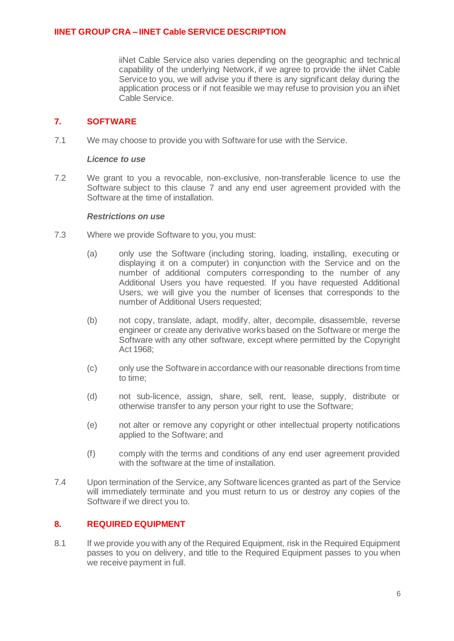iiNet Cable Service also varies depending on the geographic and technical capability of the underlying Network, if we agree to provide the iiNet Cable Service to you, we will advise you if there is any significant delay during the application process or if not feasible we may refuse to provision you an iiNet Cable Service.

## <span id="page-5-0"></span>**7. SOFTWARE**

7.1 We may choose to provide you with Software for use with the Service.

### *Licence to use*

7.2 We grant to you a revocable, non-exclusive, non-transferable licence to use the Software subject to this clause [7](#page-5-0) and any end user agreement provided with the Software at the time of installation.

### *Restrictions on use*

- 7.3 Where we provide Software to you, you must:
	- (a) only use the Software (including storing, loading, installing, executing or displaying it on a computer) in conjunction with the Service and on the number of additional computers corresponding to the number of any Additional Users you have requested. If you have requested Additional Users, we will give you the number of licenses that corresponds to the number of Additional Users requested;
	- (b) not copy, translate, adapt, modify, alter, decompile, disassemble, reverse engineer or create any derivative works based on the Software or merge the Software with any other software, except where permitted by the Copyright Act 1968;
	- (c) only use the Software in accordance with our reasonable directions from time to time;
	- (d) not sub-licence, assign, share, sell, rent, lease, supply, distribute or otherwise transfer to any person your right to use the Software;
	- (e) not alter or remove any copyright or other intellectual property notifications applied to the Software; and
	- (f) comply with the terms and conditions of any end user agreement provided with the software at the time of installation.
- 7.4 Upon termination of the Service, any Software licences granted as part of the Service will immediately terminate and you must return to us or destroy any copies of the Software if we direct you to.

## **8. REQUIRED EQUIPMENT**

8.1 If we provide you with any of the Required Equipment, risk in the Required Equipment passes to you on delivery, and title to the Required Equipment passes to you when we receive payment in full.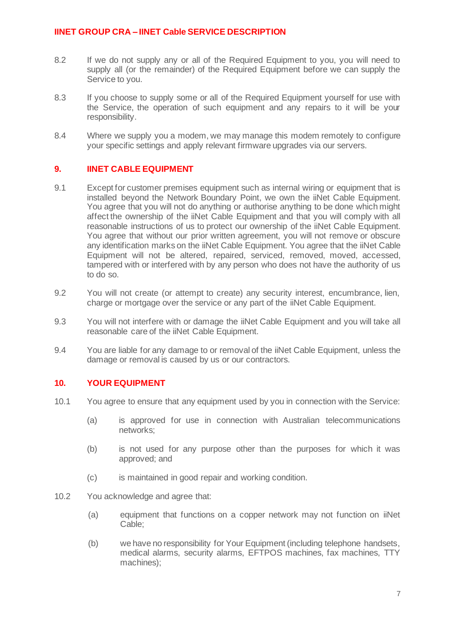- 8.2 If we do not supply any or all of the Required Equipment to you, you will need to supply all (or the remainder) of the Required Equipment before we can supply the Service to you.
- 8.3 If you choose to supply some or all of the Required Equipment yourself for use with the Service, the operation of such equipment and any repairs to it will be your responsibility.
- 8.4 Where we supply you a modem, we may manage this modem remotely to configure your specific settings and apply relevant firmware upgrades via our servers.

### **9. IINET CABLE EQUIPMENT**

- 9.1 Except for customer premises equipment such as internal wiring or equipment that is installed beyond the Network Boundary Point, we own the iiNet Cable Equipment. You agree that you will not do anything or authorise anything to be done which might affect the ownership of the iiNet Cable Equipment and that you will comply with all reasonable instructions of us to protect our ownership of the iiNet Cable Equipment. You agree that without our prior written agreement, you will not remove or obscure any identification marks on the iiNet Cable Equipment. You agree that the iiNet Cable Equipment will not be altered, repaired, serviced, removed, moved, accessed, tampered with or interfered with by any person who does not have the authority of us to do so.
- 9.2 You will not create (or attempt to create) any security interest, encumbrance, lien, charge or mortgage over the service or any part of the iiNet Cable Equipment.
- 9.3 You will not interfere with or damage the iiNet Cable Equipment and you will take all reasonable care of the iiNet Cable Equipment.
- 9.4 You are liable for any damage to or removal of the iiNet Cable Equipment, unless the damage or removal is caused by us or our contractors.

### **10. YOUR EQUIPMENT**

- 10.1 You agree to ensure that any equipment used by you in connection with the Service:
	- (a) is approved for use in connection with Australian telecommunications networks;
	- (b) is not used for any purpose other than the purposes for which it was approved; and
	- (c) is maintained in good repair and working condition.
- 10.2 You acknowledge and agree that:
	- (a) equipment that functions on a copper network may not function on iiNet Cable;
	- (b) we have no responsibility for Your Equipment (including telephone handsets, medical alarms, security alarms, EFTPOS machines, fax machines, TTY machines);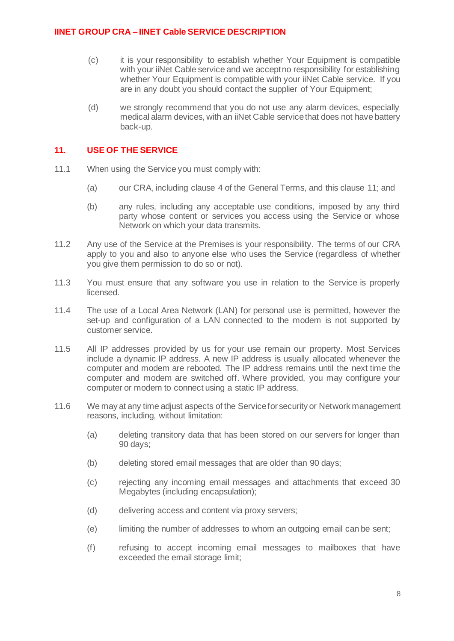- (c) it is your responsibility to establish whether Your Equipment is compatible with your iiNet Cable service and we accept no responsibility for establishing whether Your Equipment is compatible with your iiNet Cable service. If you are in any doubt you should contact the supplier of Your Equipment;
- (d) we strongly recommend that you do not use any alarm devices, especially medical alarm devices, with an iiNet Cable service that does not have battery back-up.

### **11. USE OF THE SERVICE**

- 11.1 When using the Service you must comply with:
	- (a) our CRA, including clause 4 of the General Terms, and this clause 11; and
	- (b) any rules, including any acceptable use conditions, imposed by any third party whose content or services you access using the Service or whose Network on which your data transmits.
- 11.2 Any use of the Service at the Premises is your responsibility. The terms of our CRA apply to you and also to anyone else who uses the Service (regardless of whether you give them permission to do so or not).
- 11.3 You must ensure that any software you use in relation to the Service is properly licensed.
- 11.4 The use of a Local Area Network (LAN) for personal use is permitted, however the set-up and configuration of a LAN connected to the modem is not supported by customer service.
- 11.5 All IP addresses provided by us for your use remain our property. Most Services include a dynamic IP address. A new IP address is usually allocated whenever the computer and modem are rebooted. The IP address remains until the next time the computer and modem are switched off. Where provided, you may configure your computer or modem to connect using a static IP address.
- 11.6 We may at any time adjust aspects of the Service for security or Network management reasons, including, without limitation:
	- (a) deleting transitory data that has been stored on our servers for longer than 90 days;
	- (b) deleting stored email messages that are older than 90 days;
	- (c) rejecting any incoming email messages and attachments that exceed 30 Megabytes (including encapsulation);
	- (d) delivering access and content via proxy servers;
	- (e) limiting the number of addresses to whom an outgoing email can be sent;
	- (f) refusing to accept incoming email messages to mailboxes that have exceeded the email storage limit;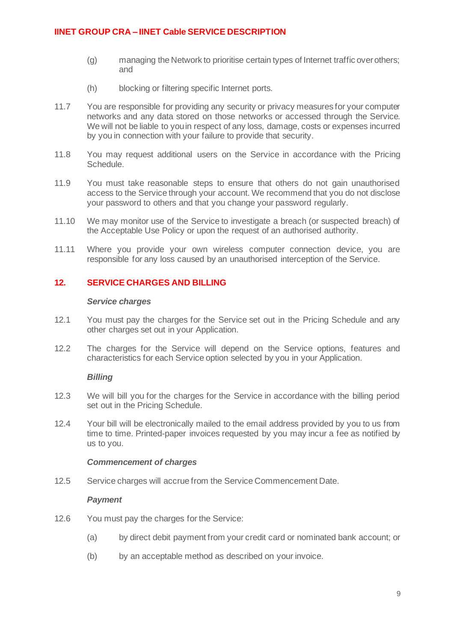- (g) managing the Network to prioritise certain types of Internet traffic over others; and
- (h) blocking or filtering specific Internet ports.
- 11.7 You are responsible for providing any security or privacy measures for your computer networks and any data stored on those networks or accessed through the Service. We will not be liable to you in respect of any loss, damage, costs or expenses incurred by you in connection with your failure to provide that security.
- 11.8 You may request additional users on the Service in accordance with the Pricing Schedule.
- 11.9 You must take reasonable steps to ensure that others do not gain unauthorised access to the Service through your account. We recommend that you do not disclose your password to others and that you change your password regularly.
- 11.10 We may monitor use of the Service to investigate a breach (or suspected breach) of the Acceptable Use Policy or upon the request of an authorised authority.
- 11.11 Where you provide your own wireless computer connection device, you are responsible for any loss caused by an unauthorised interception of the Service.

## **12. SERVICE CHARGES AND BILLING**

#### *Service charges*

- 12.1 You must pay the charges for the Service set out in the Pricing Schedule and any other charges set out in your Application.
- 12.2 The charges for the Service will depend on the Service options, features and characteristics for each Service option selected by you in your Application.

### *Billing*

- 12.3 We will bill you for the charges for the Service in accordance with the billing period set out in the Pricing Schedule.
- 12.4 Your bill will be electronically mailed to the email address provided by you to us from time to time. Printed-paper invoices requested by you may incur a fee as notified by us to you.

### *Commencement of charges*

12.5 Service charges will accrue from the Service Commencement Date.

### *Payment*

- 12.6 You must pay the charges for the Service:
	- (a) by direct debit payment from your credit card or nominated bank account; or
	- (b) by an acceptable method as described on your invoice.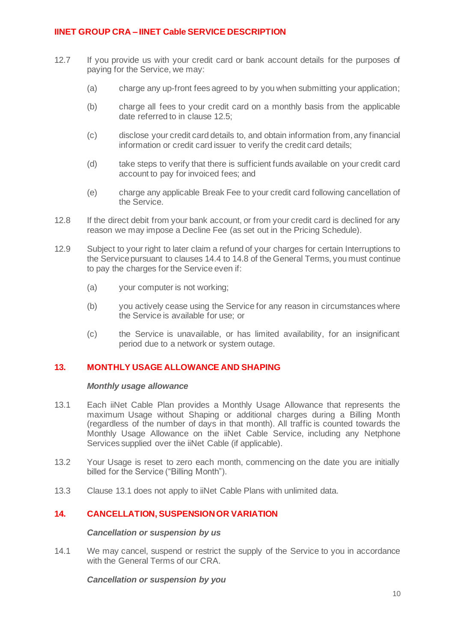- 12.7 If you provide us with your credit card or bank account details for the purposes of paying for the Service, we may:
	- (a) charge any up-front fees agreed to by you when submitting your application;
	- (b) charge all fees to your credit card on a monthly basis from the applicable date referred to in clause 12.5;
	- (c) disclose your credit card details to, and obtain information from, any financial information or credit card issuer to verify the credit card details;
	- (d) take steps to verify that there is sufficient funds available on your credit card account to pay for invoiced fees; and
	- (e) charge any applicable Break Fee to your credit card following cancellation of the Service.
- 12.8 If the direct debit from your bank account, or from your credit card is declined for any reason we may impose a Decline Fee (as set out in the Pricing Schedule).
- 12.9 Subject to your right to later claim a refund of your charges for certain Interruptions to the Service pursuant to clauses 14.4 to 14.8 of the General Terms, you must continue to pay the charges for the Service even if:
	- (a) your computer is not working;
	- (b) you actively cease using the Service for any reason in circumstances where the Service is available for use; or
	- (c) the Service is unavailable, or has limited availability, for an insignificant period due to a network or system outage.

# **13. MONTHLY USAGE ALLOWANCE AND SHAPING**

#### *Monthly usage allowance*

- 13.1 Each iiNet Cable Plan provides a Monthly Usage Allowance that represents the maximum Usage without Shaping or additional charges during a Billing Month (regardless of the number of days in that month). All traffic is counted towards the Monthly Usage Allowance on the iiNet Cable Service, including any Netphone Services supplied over the iiNet Cable (if applicable).
- 13.2 Your Usage is reset to zero each month, commencing on the date you are initially billed for the Service ("Billing Month").
- 13.3 Clause 13.1 does not apply to iiNet Cable Plans with unlimited data.

### **14. CANCELLATION, SUSPENSION OR VARIATION**

#### *Cancellation or suspension by us*

14.1 We may cancel, suspend or restrict the supply of the Service to you in accordance with the General Terms of our CRA.

#### *Cancellation or suspension by you*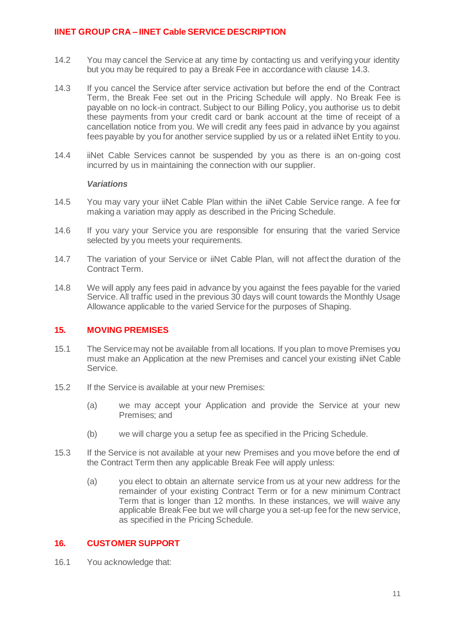- 14.2 You may cancel the Service at any time by contacting us and verifying your identity but you may be required to pay a Break Fee in accordance with clause [14.3.](#page-10-0)
- <span id="page-10-0"></span>14.3 If you cancel the Service after service activation but before the end of the Contract Term, the Break Fee set out in the Pricing Schedule will apply. No Break Fee is payable on no lock-in contract. Subject to our Billing Policy, you authorise us to debit these payments from your credit card or bank account at the time of receipt of a cancellation notice from you. We will credit any fees paid in advance by you against fees payable by you for another service supplied by us or a related iiNet Entity to you.
- 14.4 iiNet Cable Services cannot be suspended by you as there is an on-going cost incurred by us in maintaining the connection with our supplier.

#### *Variations*

- 14.5 You may vary your iiNet Cable Plan within the iiNet Cable Service range. A fee for making a variation may apply as described in the Pricing Schedule.
- 14.6 If you vary your Service you are responsible for ensuring that the varied Service selected by you meets your requirements.
- 14.7 The variation of your Service or iiNet Cable Plan, will not affect the duration of the Contract Term.
- 14.8 We will apply any fees paid in advance by you against the fees payable for the varied Service. All traffic used in the previous 30 days will count towards the Monthly Usage Allowance applicable to the varied Service for the purposes of Shaping.

### **15. MOVING PREMISES**

- 15.1 The Service may not be available from all locations. If you plan to move Premises you must make an Application at the new Premises and cancel your existing iiNet Cable Service.
- 15.2 If the Service is available at your new Premises:
	- (a) we may accept your Application and provide the Service at your new Premises; and
	- (b) we will charge you a setup fee as specified in the Pricing Schedule.
- 15.3 If the Service is not available at your new Premises and you move before the end of the Contract Term then any applicable Break Fee will apply unless:
	- (a) you elect to obtain an alternate service from us at your new address for the remainder of your existing Contract Term or for a new minimum Contract Term that is longer than 12 months. In these instances, we will waive any applicable Break Fee but we will charge you a set-up fee for the new service, as specified in the Pricing Schedule.

### **16. CUSTOMER SUPPORT**

16.1 You acknowledge that: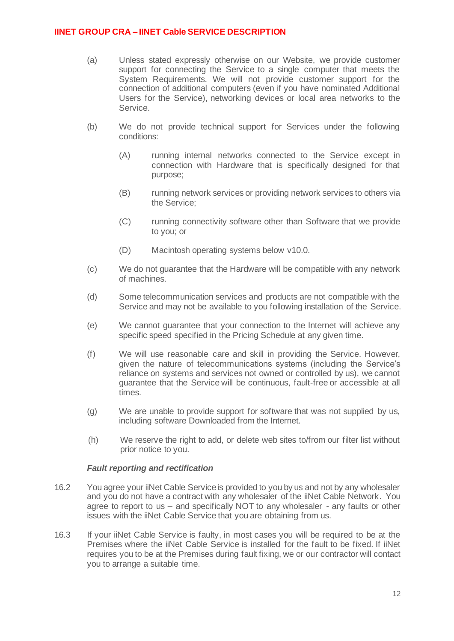- (a) Unless stated expressly otherwise on our Website, we provide customer support for connecting the Service to a single computer that meets the System Requirements. We will not provide customer support for the connection of additional computers (even if you have nominated Additional Users for the Service), networking devices or local area networks to the Service.
- (b) We do not provide technical support for Services under the following conditions:
	- (A) running internal networks connected to the Service except in connection with Hardware that is specifically designed for that purpose;
	- (B) running network services or providing network services to others via the Service;
	- (C) running connectivity software other than Software that we provide to you; or
	- (D) Macintosh operating systems below v10.0.
- (c) We do not guarantee that the Hardware will be compatible with any network of machines.
- (d) Some telecommunication services and products are not compatible with the Service and may not be available to you following installation of the Service.
- (e) We cannot guarantee that your connection to the Internet will achieve any specific speed specified in the Pricing Schedule at any given time.
- (f) We will use reasonable care and skill in providing the Service. However, given the nature of telecommunications systems (including the Service's reliance on systems and services not owned or controlled by us), we cannot guarantee that the Service will be continuous, fault-free or accessible at all times.
- (g) We are unable to provide support for software that was not supplied by us, including software Downloaded from the Internet.
- (h) We reserve the right to add, or delete web sites to/from our filter list without prior notice to you.

### *Fault reporting and rectification*

- 16.2 You agree your iiNet Cable Service is provided to you by us and not by any wholesaler and you do not have a contract with any wholesaler of the iiNet Cable Network. You agree to report to us – and specifically NOT to any wholesaler - any faults or other issues with the iiNet Cable Service that you are obtaining from us.
- 16.3 If your iiNet Cable Service is faulty, in most cases you will be required to be at the Premises where the iiNet Cable Service is installed for the fault to be fixed. If iiNet requires you to be at the Premises during fault fixing, we or our contractor will contact you to arrange a suitable time.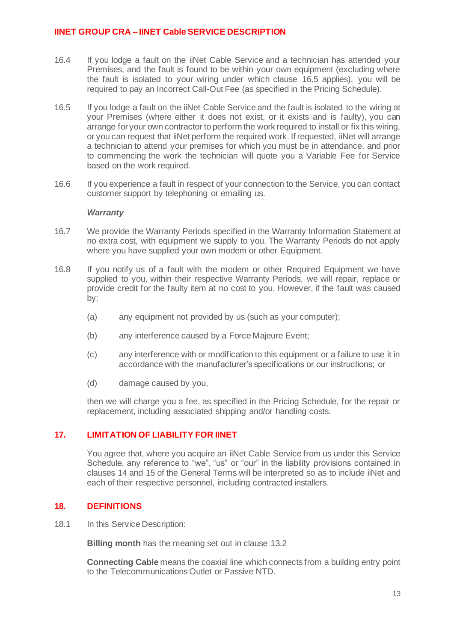- 16.4 If you lodge a fault on the iiNet Cable Service and a technician has attended your Premises, and the fault is found to be within your own equipment (excluding where the fault is isolated to your wiring under which clause [16.5](#page-12-0) applies), you will be required to pay an Incorrect Call-Out Fee (as specified in the Pricing Schedule).
- <span id="page-12-0"></span>16.5 If you lodge a fault on the iiNet Cable Service and the fault is isolated to the wiring at your Premises (where either it does not exist, or it exists and is faulty), you can arrange for your own contractor to perform the work required to install or fix this wiring, or you can request that iiNet perform the required work. If requested, iiNet will arrange a technician to attend your premises for which you must be in attendance, and prior to commencing the work the technician will quote you a Variable Fee for Service based on the work required.
- 16.6 If you experience a fault in respect of your connection to the Service, you can contact customer support by telephoning or emailing us.

#### *Warranty*

- 16.7 We provide the Warranty Periods specified in the Warranty Information Statement at no extra cost, with equipment we supply to you. The Warranty Periods do not apply where you have supplied your own modem or other Equipment.
- 16.8 If you notify us of a fault with the modem or other Required Equipment we have supplied to you, within their respective Warranty Periods, we will repair, replace or provide credit for the faulty item at no cost to you. However, if the fault was caused by:
	- (a) any equipment not provided by us (such as your computer);
	- (b) any interference caused by a Force Majeure Event;
	- (c) any interference with or modification to this equipment or a failure to use it in accordance with the manufacturer's specifications or our instructions; or
	- (d) damage caused by you,

then we will charge you a fee, as specified in the Pricing Schedule, for the repair or replacement, including associated shipping and/or handling costs.

### **17. LIMITATION OF LIABILITY FOR IINET**

You agree that, where you acquire an iiNet Cable Service from us under this Service Schedule, any reference to "we", "us" or "our" in the liability provisions contained in clauses 14 and 15 of the General Terms will be interpreted so as to include iiNet and each of their respective personnel, including contracted installers.

## **18. DEFINITIONS**

18.1 In this Service Description:

**Billing month** has the meaning set out in clause 13.2

**Connecting Cable** means the coaxial line which connects from a building entry point to the Telecommunications Outlet or Passive NTD.